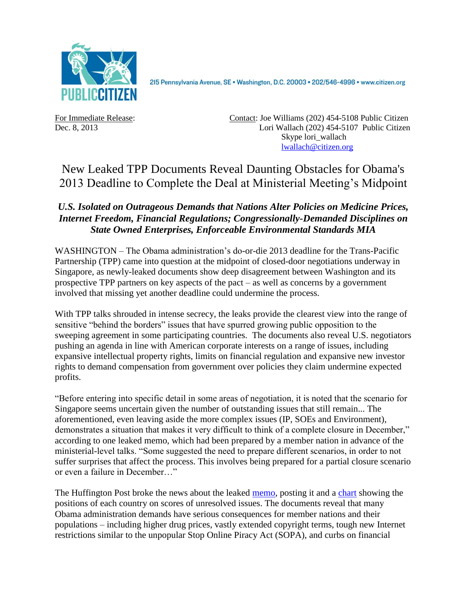

215 Pennsylvania Avenue, SE · Washington, D.C. 20003 · 202/546-4996 · www.citizen.org

For Immediate Release: Contact: Joe Williams (202) 454-5108 Public Citizen Dec. 8, 2013 Lori Wallach (202) 454-5107 Public Citizen Skype lori\_wallach [lwallach@citizen.org](mailto:lwallach@citizen.org)

## New Leaked TPP Documents Reveal Daunting Obstacles for Obama's 2013 Deadline to Complete the Deal at Ministerial Meeting's Midpoint

## *U.S. Isolated on Outrageous Demands that Nations Alter Policies on Medicine Prices, Internet Freedom, Financial Regulations; Congressionally-Demanded Disciplines on State Owned Enterprises, Enforceable Environmental Standards MIA*

WASHINGTON – The Obama administration's do-or-die 2013 deadline for the Trans-Pacific Partnership (TPP) came into question at the midpoint of closed-door negotiations underway in Singapore, as newly-leaked documents show deep disagreement between Washington and its prospective TPP partners on key aspects of the pact – as well as concerns by a government involved that missing yet another deadline could undermine the process.

With TPP talks shrouded in intense secrecy, the leaks provide the clearest view into the range of sensitive "behind the borders" issues that have spurred growing public opposition to the sweeping agreement in some participating countries. The documents also reveal U.S. negotiators pushing an agenda in line with American corporate interests on a range of issues, including expansive intellectual property rights, limits on financial regulation and expansive new investor rights to demand compensation from government over policies they claim undermine expected profits.

"Before entering into specific detail in some areas of negotiation, it is noted that the scenario for Singapore seems uncertain given the number of outstanding issues that still remain... The aforementioned, even leaving aside the more complex issues (IP, SOEs and Environment), demonstrates a situation that makes it very difficult to think of a complete closure in December," according to one leaked memo, which had been prepared by a member nation in advance of the ministerial-level talks. "Some suggested the need to prepare different scenarios, in order to not suffer surprises that affect the process. This involves being prepared for a partial closure scenario or even a failure in December…"

The Huffington Post broke the news about the leaked [memo,](http://big.assets.huffingtonpost.com/1294_001.pdf) posting it and a [chart](http://big.assets.huffingtonpost.com/1296_001.pdf) showing the positions of each country on scores of unresolved issues. The documents reveal that many Obama administration demands have serious consequences for member nations and their populations – including higher drug prices, vastly extended copyright terms, tough new Internet restrictions similar to the unpopular Stop Online Piracy Act (SOPA), and curbs on financial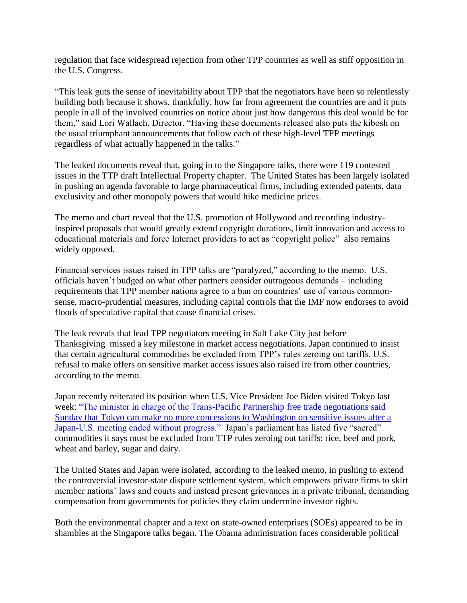regulation that face widespread rejection from other TPP countries as well as stiff opposition in the U.S. Congress.

"This leak guts the sense of inevitability about TPP that the negotiators have been so relentlessly building both because it shows, thankfully, how far from agreement the countries are and it puts people in all of the involved countries on notice about just how dangerous this deal would be for them," said Lori Wallach, Director. "Having these documents released also puts the kibosh on the usual triumphant announcements that follow each of these high-level TPP meetings regardless of what actually happened in the talks."

The leaked documents reveal that, going in to the Singapore talks, there were 119 contested issues in the TTP draft Intellectual Property chapter. The United States has been largely isolated in pushing an agenda favorable to large pharmaceutical firms, including extended patents, data exclusivity and other monopoly powers that would hike medicine prices.

The memo and chart reveal that the U.S. promotion of Hollywood and recording industryinspired proposals that would greatly extend copyright durations, limit innovation and access to educational materials and force Internet providers to act as "copyright police" also remains widely opposed.

Financial services issues raised in TPP talks are "paralyzed," according to the memo. U.S. officials haven't budged on what other partners consider outrageous demands – including requirements that TPP member nations agree to a ban on countries' use of various commonsense, macro-prudential measures, including capital controls that the IMF now endorses to avoid floods of speculative capital that cause financial crises.

The leak reveals that lead TPP negotiators meeting in Salt Lake City just before Thanksgiving missed a key milestone in market access negotiations. Japan continued to insist that certain agricultural commodities be excluded from TPP's rules zeroing out tariffs. U.S. refusal to make offers on sensitive market access issues also raised ire from other countries, according to the memo.

Japan recently reiterated its position when U.S. Vice President Joe Biden visited Tokyo last week: ["The minister in charge of the Trans-Pacific Partnership free trade negotiations said](http://www.japantimes.co.jp/news/2013/12/01/business/japan-cant-make-further-concessions-to-u-s-in-tpp-talks-minister/?utm_source=rss&utm_medium=rss&utm_campaign=japan-cant-make-further-concessions-to-u-s-in-tpp-talks-minister)  [Sunday that Tokyo can make no more concessions to Washington on sensitive issues after a](http://www.japantimes.co.jp/news/2013/12/01/business/japan-cant-make-further-concessions-to-u-s-in-tpp-talks-minister/?utm_source=rss&utm_medium=rss&utm_campaign=japan-cant-make-further-concessions-to-u-s-in-tpp-talks-minister)  [Japan-U.S. meeting ended without progress."](http://www.japantimes.co.jp/news/2013/12/01/business/japan-cant-make-further-concessions-to-u-s-in-tpp-talks-minister/?utm_source=rss&utm_medium=rss&utm_campaign=japan-cant-make-further-concessions-to-u-s-in-tpp-talks-minister) Japan's parliament has listed five "sacred" commodities it says must be excluded from TTP rules zeroing out tariffs: rice, beef and pork, wheat and barley, sugar and dairy.

The United States and Japan were isolated, according to the leaked memo, in pushing to extend the controversial investor-state dispute settlement system, which empowers private firms to skirt member nations' laws and courts and instead present grievances in a private tribunal, demanding compensation from governments for policies they claim undermine investor rights.

Both the environmental chapter and a text on state-owned enterprises (SOEs) appeared to be in shambles at the Singapore talks began. The Obama administration faces considerable political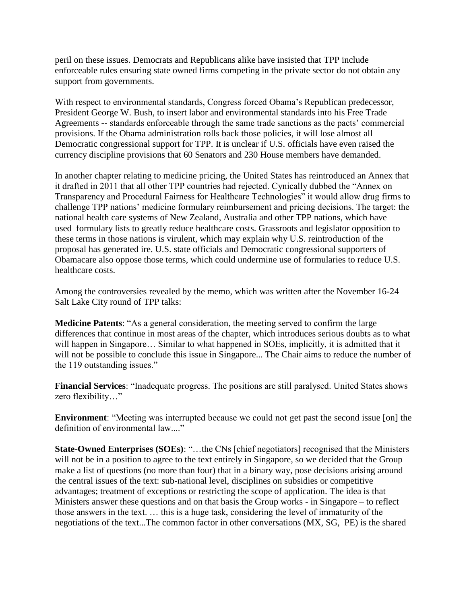peril on these issues. Democrats and Republicans alike have insisted that TPP include enforceable rules ensuring state owned firms competing in the private sector do not obtain any support from governments.

With respect to environmental standards, Congress forced Obama's Republican predecessor, President George W. Bush, to insert labor and environmental standards into his Free Trade Agreements -- standards enforceable through the same trade sanctions as the pacts' commercial provisions. If the Obama administration rolls back those policies, it will lose almost all Democratic congressional support for TPP. It is unclear if U.S. officials have even raised the currency discipline provisions that 60 Senators and 230 House members have demanded.

In another chapter relating to medicine pricing, the United States has reintroduced an Annex that it drafted in 2011 that all other TPP countries had rejected. Cynically dubbed the "Annex on Transparency and Procedural Fairness for Healthcare Technologies" it would allow drug firms to challenge TPP nations' medicine formulary reimbursement and pricing decisions. The target: the national health care systems of New Zealand, Australia and other TPP nations, which have used formulary lists to greatly reduce healthcare costs. Grassroots and legislator opposition to these terms in those nations is virulent, which may explain why U.S. reintroduction of the proposal has generated ire. U.S. state officials and Democratic congressional supporters of Obamacare also oppose those terms, which could undermine use of formularies to reduce U.S. healthcare costs.

Among the controversies revealed by the memo, which was written after the November 16-24 Salt Lake City round of TPP talks:

**Medicine Patents**: "As a general consideration, the meeting served to confirm the large differences that continue in most areas of the chapter, which introduces serious doubts as to what will happen in Singapore... Similar to what happened in SOEs, implicitly, it is admitted that it will not be possible to conclude this issue in Singapore... The Chair aims to reduce the number of the 119 outstanding issues."

**Financial Services**: "Inadequate progress. The positions are still paralysed. United States shows zero flexibility…"

**Environment**: "Meeting was interrupted because we could not get past the second issue [on] the definition of environmental law...."

**State-Owned Enterprises (SOEs)**: "…the CNs [chief negotiators] recognised that the Ministers will not be in a position to agree to the text entirely in Singapore, so we decided that the Group make a list of questions (no more than four) that in a binary way, pose decisions arising around the central issues of the text: sub-national level, disciplines on subsidies or competitive advantages; treatment of exceptions or restricting the scope of application. The idea is that Ministers answer these questions and on that basis the Group works - in Singapore – to reflect those answers in the text. … this is a huge task, considering the level of immaturity of the negotiations of the text...The common factor in other conversations (MX, SG, PE) is the shared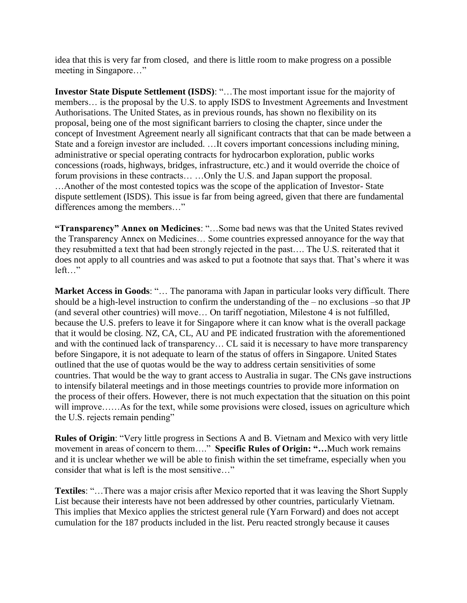idea that this is very far from closed, and there is little room to make progress on a possible meeting in Singapore…"

**Investor State Dispute Settlement (ISDS)**: "…The most important issue for the majority of members… is the proposal by the U.S. to apply ISDS to Investment Agreements and Investment Authorisations. The United States, as in previous rounds, has shown no flexibility on its proposal, being one of the most significant barriers to closing the chapter, since under the concept of Investment Agreement nearly all significant contracts that that can be made between a State and a foreign investor are included. …It covers important concessions including mining, administrative or special operating contracts for hydrocarbon exploration, public works concessions (roads, highways, bridges, infrastructure, etc.) and it would override the choice of forum provisions in these contracts… …Only the U.S. and Japan support the proposal.

…Another of the most contested topics was the scope of the application of Investor- State dispute settlement (ISDS). This issue is far from being agreed, given that there are fundamental differences among the members…"

**"Transparency" Annex on Medicines**: "…Some bad news was that the United States revived the Transparency Annex on Medicines… Some countries expressed annoyance for the way that they resubmitted a text that had been strongly rejected in the past…. The U.S. reiterated that it does not apply to all countries and was asked to put a footnote that says that. That's where it was left…"

**Market Access in Goods**: "… The panorama with Japan in particular looks very difficult. There should be a high-level instruction to confirm the understanding of the  $-$  no exclusions  $-$ so that JP (and several other countries) will move… On tariff negotiation, Milestone 4 is not fulfilled, because the U.S. prefers to leave it for Singapore where it can know what is the overall package that it would be closing. NZ, CA, CL, AU and PE indicated frustration with the aforementioned and with the continued lack of transparency… CL said it is necessary to have more transparency before Singapore, it is not adequate to learn of the status of offers in Singapore. United States outlined that the use of quotas would be the way to address certain sensitivities of some countries. That would be the way to grant access to Australia in sugar. The CNs gave instructions to intensify bilateral meetings and in those meetings countries to provide more information on the process of their offers. However, there is not much expectation that the situation on this point will improve……As for the text, while some provisions were closed, issues on agriculture which the U.S. rejects remain pending"

**Rules of Origin**: "Very little progress in Sections A and B. Vietnam and Mexico with very little movement in areas of concern to them…." **Specific Rules of Origin: "…**Much work remains and it is unclear whether we will be able to finish within the set timeframe, especially when you consider that what is left is the most sensitive…"

**Textiles**: "…There was a major crisis after Mexico reported that it was leaving the Short Supply List because their interests have not been addressed by other countries, particularly Vietnam. This implies that Mexico applies the strictest general rule (Yarn Forward) and does not accept cumulation for the 187 products included in the list. Peru reacted strongly because it causes